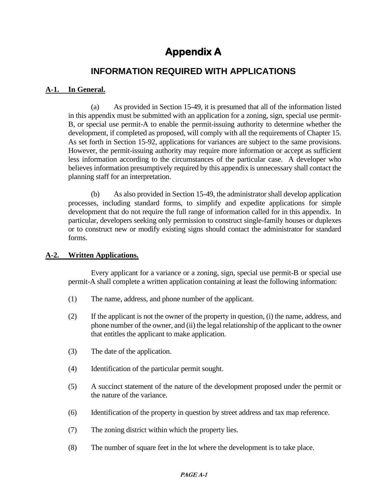# **Appendix A**

# **INFORMATION REQUIRED WITH APPLICATIONS**

# **A-1. In General.**

(a) As provided in Section 15-49, it is presumed that all of the information listed in this appendix must be submitted with an application for a zoning, sign, special use permit-B, or special use permit-A to enable the permit-issuing authority to determine whether the development, if completed as proposed, will comply with all the requirements of Chapter 15. As set forth in Section 15-92, applications for variances are subject to the same provisions. However, the permit-issuing authority may require more information or accept as sufficient less information according to the circumstances of the particular case. A developer who believes information presumptively required by this appendix is unnecessary shall contact the planning staff for an interpretation.

(b) As also provided in Section 15-49, the administrator shall develop application processes, including standard forms, to simplify and expedite applications for simple development that do not require the full range of information called for in this appendix. In particular, developers seeking only permission to construct single-family houses or duplexes or to construct new or modify existing signs should contact the administrator for standard forms.

# **A-2. Written Applications.**

Every applicant for a variance or a zoning, sign, special use permit-B or special use permit-A shall complete a written application containing at least the following information:

- (1) The name, address, and phone number of the applicant.
- (2) If the applicant is not the owner of the property in question, (i) the name, address, and phone number of the owner, and (ii) the legal relationship of the applicant to the owner that entitles the applicant to make application.
- (3) The date of the application.
- (4) Identification of the particular permit sought.
- (5) A succinct statement of the nature of the development proposed under the permit or the nature of the variance.
- (6) Identification of the property in question by street address and tax map reference.
- (7) The zoning district within which the property lies.
- (8) The number of square feet in the lot where the development is to take place.

#### **PAGE A-1**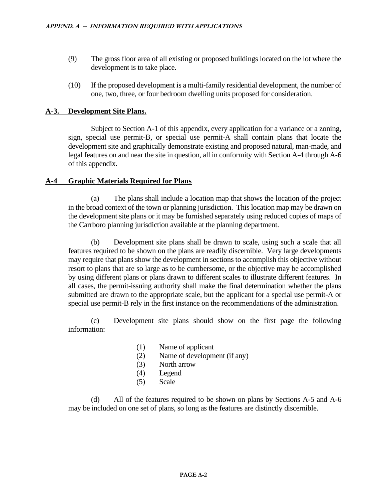- (9) The gross floor area of all existing or proposed buildings located on the lot where the development is to take place.
- (10) If the proposed development is a multi-family residential development, the number of one, two, three, or four bedroom dwelling units proposed for consideration.

# **A-3. Development Site Plans.**

Subject to Section A-1 of this appendix, every application for a variance or a zoning, sign, special use permit-B, or special use permit-A shall contain plans that locate the development site and graphically demonstrate existing and proposed natural, man-made, and legal features on and near the site in question, all in conformity with Section A-4 through A-6 of this appendix.

# **A-4 Graphic Materials Required for Plans**

(a) The plans shall include a location map that shows the location of the project in the broad context of the town or planning jurisdiction. This location map may be drawn on the development site plans or it may be furnished separately using reduced copies of maps of the Carrboro planning jurisdiction available at the planning department.

(b) Development site plans shall be drawn to scale, using such a scale that all features required to be shown on the plans are readily discernible. Very large developments may require that plans show the development in sections to accomplish this objective without resort to plans that are so large as to be cumbersome, or the objective may be accomplished by using different plans or plans drawn to different scales to illustrate different features. In all cases, the permit-issuing authority shall make the final determination whether the plans submitted are drawn to the appropriate scale, but the applicant for a special use permit-A or special use permit-B rely in the first instance on the recommendations of the administration.

(c) Development site plans should show on the first page the following information:

- (1) Name of applicant
- (2) Name of development (if any)
- (3) North arrow
- (4) Legend
- (5) Scale

(d) All of the features required to be shown on plans by Sections A-5 and A-6 may be included on one set of plans, so long as the features are distinctly discernible.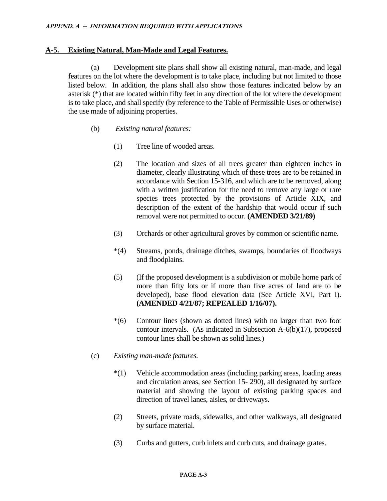### **A-5. Existing Natural, Man-Made and Legal Features.**

(a) Development site plans shall show all existing natural, man-made, and legal features on the lot where the development is to take place, including but not limited to those listed below. In addition, the plans shall also show those features indicated below by an asterisk (\*) that are located within fifty feet in any direction of the lot where the development is to take place, and shall specify (by reference to the Table of Permissible Uses or otherwise) the use made of adjoining properties.

- (b) *Existing natural features:*
	- (1) Tree line of wooded areas.
	- (2) The location and sizes of all trees greater than eighteen inches in diameter, clearly illustrating which of these trees are to be retained in accordance with Section 15-316, and which are to be removed, along with a written justification for the need to remove any large or rare species trees protected by the provisions of Article XIX, and description of the extent of the hardship that would occur if such removal were not permitted to occur. **(AMENDED 3/21/89)**
	- (3) Orchards or other agricultural groves by common or scientific name.
	- \*(4) Streams, ponds, drainage ditches, swamps, boundaries of floodways and floodplains.
	- (5) (If the proposed development is a subdivision or mobile home park of more than fifty lots or if more than five acres of land are to be developed), base flood elevation data (See Article XVI, Part I). **(AMENDED 4/21/87; REPEALED 1/16/07).**
	- \*(6) Contour lines (shown as dotted lines) with no larger than two foot contour intervals. (As indicated in Subsection A-6(b)(17), proposed contour lines shall be shown as solid lines.)
- (c) *Existing man-made features.*
	- \*(1) Vehicle accommodation areas (including parking areas, loading areas and circulation areas, see Section 15- 290), all designated by surface material and showing the layout of existing parking spaces and direction of travel lanes, aisles, or driveways.
	- (2) Streets, private roads, sidewalks, and other walkways, all designated by surface material.
	- (3) Curbs and gutters, curb inlets and curb cuts, and drainage grates.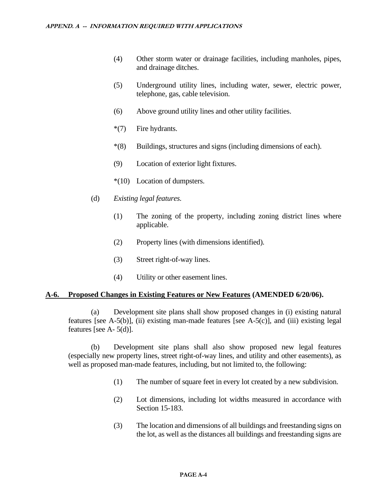- (4) Other storm water or drainage facilities, including manholes, pipes, and drainage ditches.
- (5) Underground utility lines, including water, sewer, electric power, telephone, gas, cable television.
- (6) Above ground utility lines and other utility facilities.
- \*(7) Fire hydrants.
- \*(8) Buildings, structures and signs (including dimensions of each).
- (9) Location of exterior light fixtures.
- \*(10) Location of dumpsters.
- (d) *Existing legal features.*
	- (1) The zoning of the property, including zoning district lines where applicable.
	- (2) Property lines (with dimensions identified).
	- (3) Street right-of-way lines.
	- (4) Utility or other easement lines.

### **A-6. Proposed Changes in Existing Features or New Features (AMENDED 6/20/06).**

(a) Development site plans shall show proposed changes in (i) existing natural features [see A-5(b)], (ii) existing man-made features [see A-5(c)], and (iii) existing legal features [see  $A - 5(d)$ ].

(b) Development site plans shall also show proposed new legal features (especially new property lines, street right-of-way lines, and utility and other easements), as well as proposed man-made features, including, but not limited to, the following:

- (1) The number of square feet in every lot created by a new subdivision.
- (2) Lot dimensions, including lot widths measured in accordance with Section 15-183.
- (3) The location and dimensions of all buildings and freestanding signs on the lot, as well as the distances all buildings and freestanding signs are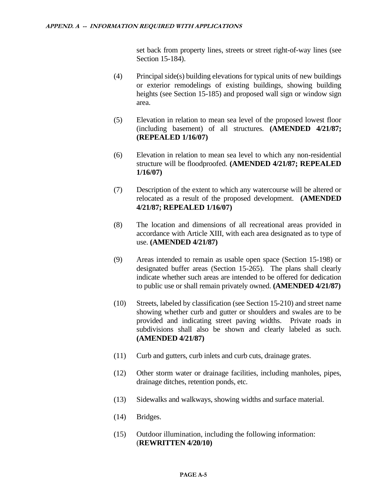set back from property lines, streets or street right-of-way lines (see Section 15-184).

- (4) Principal side(s) building elevations for typical units of new buildings or exterior remodelings of existing buildings, showing building heights (see Section 15-185) and proposed wall sign or window sign area.
- (5) Elevation in relation to mean sea level of the proposed lowest floor (including basement) of all structures. **(AMENDED 4/21/87; (REPEALED 1/16/07)**
- (6) Elevation in relation to mean sea level to which any non-residential structure will be floodproofed. **(AMENDED 4/21/87; REPEALED 1/16/07)**
- (7) Description of the extent to which any watercourse will be altered or relocated as a result of the proposed development. **(AMENDED 4/21/87; REPEALED 1/16/07)**
- (8) The location and dimensions of all recreational areas provided in accordance with Article XIII, with each area designated as to type of use. **(AMENDED 4/21/87)**
- (9) Areas intended to remain as usable open space (Section 15-198) or designated buffer areas (Section 15-265). The plans shall clearly indicate whether such areas are intended to be offered for dedication to public use or shall remain privately owned. **(AMENDED 4/21/87)**
- (10) Streets, labeled by classification (see Section 15-210) and street name showing whether curb and gutter or shoulders and swales are to be provided and indicating street paving widths. Private roads in subdivisions shall also be shown and clearly labeled as such. **(AMENDED 4/21/87)**
- (11) Curb and gutters, curb inlets and curb cuts, drainage grates.
- (12) Other storm water or drainage facilities, including manholes, pipes, drainage ditches, retention ponds, etc.
- (13) Sidewalks and walkways, showing widths and surface material.
- (14) Bridges.
- (15) Outdoor illumination, including the following information: (**REWRITTEN 4/20/10)**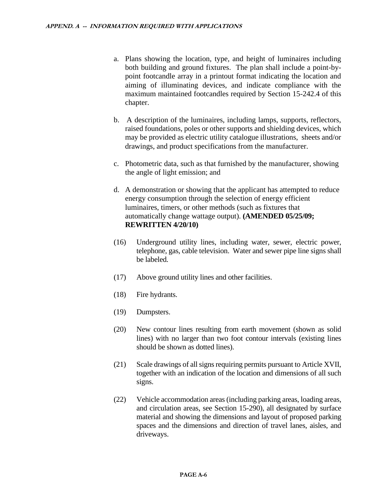- a. Plans showing the location, type, and height of luminaires including both building and ground fixtures. The plan shall include a point-bypoint footcandle array in a printout format indicating the location and aiming of illuminating devices, and indicate compliance with the maximum maintained footcandles required by Section 15-242.4 of this chapter.
- b. A description of the luminaires, including lamps, supports, reflectors, raised foundations, poles or other supports and shielding devices, which may be provided as electric utility catalogue illustrations, sheets and/or drawings, and product specifications from the manufacturer.
- c. Photometric data, such as that furnished by the manufacturer, showing the angle of light emission; and
- d. A demonstration or showing that the applicant has attempted to reduce energy consumption through the selection of energy efficient luminaires, timers, or other methods (such as fixtures that automatically change wattage output). **(AMENDED 05/25/09; REWRITTEN 4/20/10)**
- (16) Underground utility lines, including water, sewer, electric power, telephone, gas, cable television. Water and sewer pipe line signs shall be labeled.
- (17) Above ground utility lines and other facilities.
- (18) Fire hydrants.
- (19) Dumpsters.
- (20) New contour lines resulting from earth movement (shown as solid lines) with no larger than two foot contour intervals (existing lines should be shown as dotted lines).
- (21) Scale drawings of all signs requiring permits pursuant to Article XVII, together with an indication of the location and dimensions of all such signs.
- (22) Vehicle accommodation areas (including parking areas, loading areas, and circulation areas, see Section 15-290), all designated by surface material and showing the dimensions and layout of proposed parking spaces and the dimensions and direction of travel lanes, aisles, and driveways.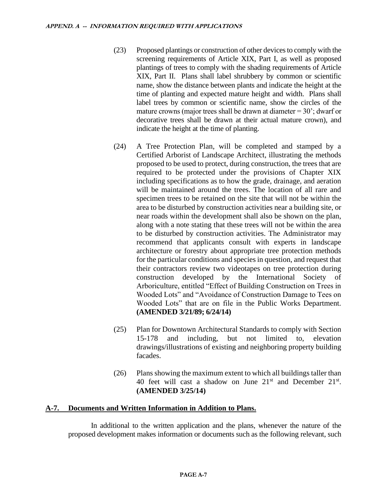- (23) Proposed plantings or construction of other devices to comply with the screening requirements of Article XIX, Part I, as well as proposed plantings of trees to comply with the shading requirements of Article XIX, Part II. Plans shall label shrubbery by common or scientific name, show the distance between plants and indicate the height at the time of planting and expected mature height and width. Plans shall label trees by common or scientific name, show the circles of the mature crowns (major trees shall be drawn at diameter  $= 30$ '; dwarf or decorative trees shall be drawn at their actual mature crown), and indicate the height at the time of planting.
- (24) A Tree Protection Plan, will be completed and stamped by a Certified Arborist of Landscape Architect, illustrating the methods proposed to be used to protect, during construction, the trees that are required to be protected under the provisions of Chapter XIX including specifications as to how the grade, drainage, and aeration will be maintained around the trees. The location of all rare and specimen trees to be retained on the site that will not be within the area to be disturbed by construction activities near a building site, or near roads within the development shall also be shown on the plan, along with a note stating that these trees will not be within the area to be disturbed by construction activities. The Administrator may recommend that applicants consult with experts in landscape architecture or forestry about appropriate tree protection methods for the particular conditions and species in question, and request that their contractors review two videotapes on tree protection during construction developed by the International Society of Arboriculture, entitled "Effect of Building Construction on Trees in Wooded Lots" and "Avoidance of Construction Damage to Tees on Wooded Lots" that are on file in the Public Works Department. **(AMENDED 3/21/89; 6/24/14)**
- (25) Plan for Downtown Architectural Standards to comply with Section 15-178 and including, but not limited to, elevation drawings/illustrations of existing and neighboring property building facades.
- (26) Plans showing the maximum extent to which all buildings taller than 40 feet will cast a shadow on June  $21<sup>st</sup>$  and December  $21<sup>st</sup>$ . **(AMENDED 3/25/14)**

### **A-7. Documents and Written Information in Addition to Plans.**

In additional to the written application and the plans, whenever the nature of the proposed development makes information or documents such as the following relevant, such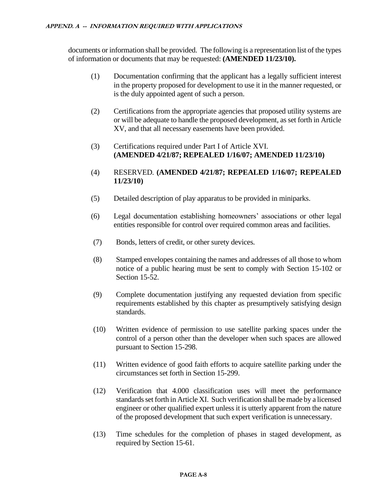documents or information shall be provided. The following is a representation list of the types of information or documents that may be requested: **(AMENDED 11/23/10).**

- (1) Documentation confirming that the applicant has a legally sufficient interest in the property proposed for development to use it in the manner requested, or is the duly appointed agent of such a person.
- (2) Certifications from the appropriate agencies that proposed utility systems are or will be adequate to handle the proposed development, as set forth in Article XV, and that all necessary easements have been provided.
- (3) Certifications required under Part I of Article XVI. **(AMENDED 4/21/87; REPEALED 1/16/07; AMENDED 11/23/10)**
- (4) RESERVED. **(AMENDED 4/21/87; REPEALED 1/16/07; REPEALED 11/23/10)**
- (5) Detailed description of play apparatus to be provided in miniparks.
- (6) Legal documentation establishing homeowners' associations or other legal entities responsible for control over required common areas and facilities.
- (7) Bonds, letters of credit, or other surety devices.
- (8) Stamped envelopes containing the names and addresses of all those to whom notice of a public hearing must be sent to comply with Section 15-102 or Section 15-52.
- (9) Complete documentation justifying any requested deviation from specific requirements established by this chapter as presumptively satisfying design standards.
- (10) Written evidence of permission to use satellite parking spaces under the control of a person other than the developer when such spaces are allowed pursuant to Section 15-298.
- (11) Written evidence of good faith efforts to acquire satellite parking under the circumstances set forth in Section 15-299.
- (12) Verification that 4.000 classification uses will meet the performance standards set forth in Article XI. Such verification shall be made by a licensed engineer or other qualified expert unless it is utterly apparent from the nature of the proposed development that such expert verification is unnecessary.
- (13) Time schedules for the completion of phases in staged development, as required by Section 15-61.